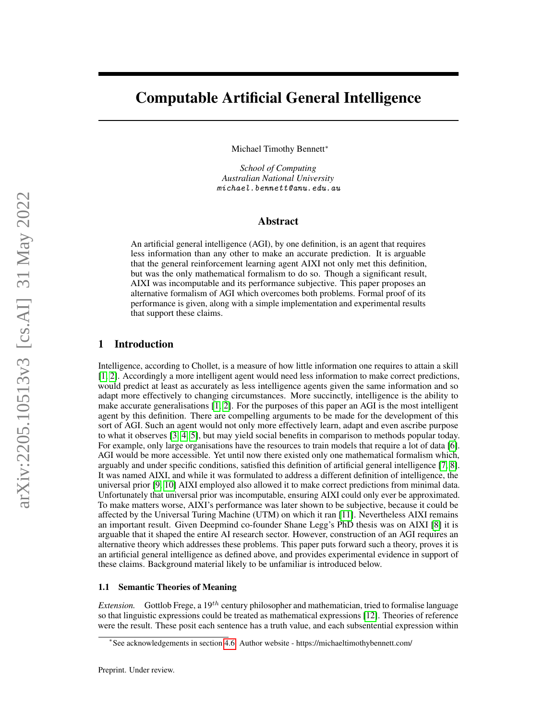# Computable Artificial General Intelligence

Michael Timothy Bennett<sup>∗</sup>

*School of Computing Australian National University* michael.bennett@anu.edu.au

## Abstract

An artificial general intelligence (AGI), by one definition, is an agent that requires less information than any other to make an accurate prediction. It is arguable that the general reinforcement learning agent AIXI not only met this definition, but was the only mathematical formalism to do so. Though a significant result, AIXI was incomputable and its performance subjective. This paper proposes an alternative formalism of AGI which overcomes both problems. Formal proof of its performance is given, along with a simple implementation and experimental results that support these claims.

# 1 Introduction

Intelligence, according to Chollet, is a measure of how little information one requires to attain a skill [\[1,](#page-9-0) [2\]](#page-9-1). Accordingly a more intelligent agent would need less information to make correct predictions, would predict at least as accurately as less intelligence agents given the same information and so adapt more effectively to changing circumstances. More succinctly, intelligence is the ability to make accurate generalisations [\[1,](#page-9-0) [2\]](#page-9-1). For the purposes of this paper an AGI is the most intelligent agent by this definition. There are compelling arguments to be made for the development of this sort of AGI. Such an agent would not only more effectively learn, adapt and even ascribe purpose to what it observes [\[3,](#page-9-2) [4,](#page-9-3) [5\]](#page-9-4), but may yield social benefits in comparison to methods popular today. For example, only large organisations have the resources to train models that require a lot of data [\[6\]](#page-9-5). AGI would be more accessible. Yet until now there existed only one mathematical formalism which, arguably and under specific conditions, satisfied this definition of artificial general intelligence [\[7,](#page-9-6) [8\]](#page-9-7). It was named AIXI, and while it was formulated to address a different definition of intelligence, the universal prior [\[9,](#page-9-8) [10\]](#page-10-0) AIXI employed also allowed it to make correct predictions from minimal data. Unfortunately that universal prior was incomputable, ensuring AIXI could only ever be approximated. To make matters worse, AIXI's performance was later shown to be subjective, because it could be affected by the Universal Turing Machine (UTM) on which it ran [\[11\]](#page-10-1). Nevertheless AIXI remains an important result. Given Deepmind co-founder Shane Legg's PhD thesis was on AIXI [\[8\]](#page-9-7) it is arguable that it shaped the entire AI research sector. However, construction of an AGI requires an alternative theory which addresses these problems. This paper puts forward such a theory, proves it is an artificial general intelligence as defined above, and provides experimental evidence in support of these claims. Background material likely to be unfamiliar is introduced below.

#### 1.1 Semantic Theories of Meaning

*Extension.* Gottlob Frege, a 19<sup>th</sup> century philosopher and mathematician, tried to formalise language so that linguistic expressions could be treated as mathematical expressions [\[12\]](#page-10-2). Theories of reference were the result. These posit each sentence has a truth value, and each subsentential expression within

<sup>∗</sup> See acknowledgements in section [4.6.](#page-9-9) Author website - https://michaeltimothybennett.com/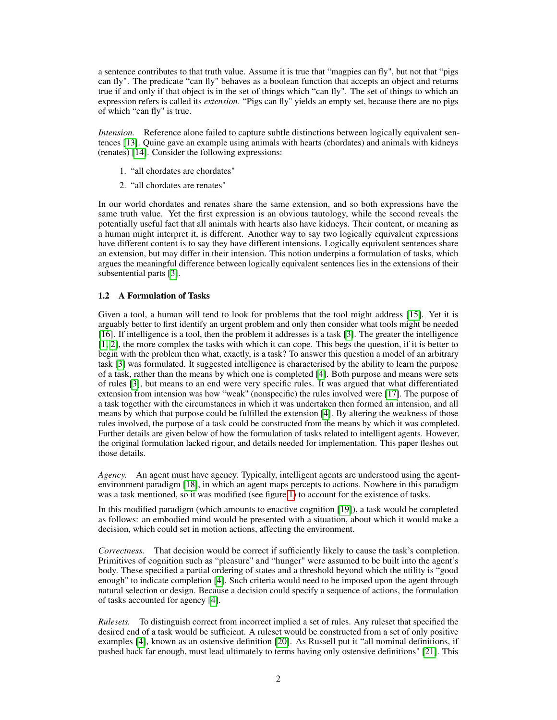a sentence contributes to that truth value. Assume it is true that "magpies can fly", but not that "pigs can fly". The predicate "can fly" behaves as a boolean function that accepts an object and returns true if and only if that object is in the set of things which "can fly". The set of things to which an expression refers is called its *extension*. "Pigs can fly" yields an empty set, because there are no pigs of which "can fly" is true.

*Intension.* Reference alone failed to capture subtle distinctions between logically equivalent sentences [\[13\]](#page-10-3). Quine gave an example using animals with hearts (chordates) and animals with kidneys (renates) [\[14\]](#page-10-4). Consider the following expressions:

- 1. "all chordates are chordates"
- 2. "all chordates are renates"

In our world chordates and renates share the same extension, and so both expressions have the same truth value. Yet the first expression is an obvious tautology, while the second reveals the potentially useful fact that all animals with hearts also have kidneys. Their content, or meaning as a human might interpret it, is different. Another way to say two logically equivalent expressions have different content is to say they have different intensions. Logically equivalent sentences share an extension, but may differ in their intension. This notion underpins a formulation of tasks, which argues the meaningful difference between logically equivalent sentences lies in the extensions of their subsentential parts [\[3\]](#page-9-2).

#### 1.2 A Formulation of Tasks

Given a tool, a human will tend to look for problems that the tool might address [\[15\]](#page-10-5). Yet it is arguably better to first identify an urgent problem and only then consider what tools might be needed [\[16\]](#page-10-6). If intelligence is a tool, then the problem it addresses is a task [\[3\]](#page-9-2). The greater the intelligence [\[1,](#page-9-0) [2\]](#page-9-1), the more complex the tasks with which it can cope. This begs the question, if it is better to begin with the problem then what, exactly, is a task? To answer this question a model of an arbitrary task [\[3\]](#page-9-2) was formulated. It suggested intelligence is characterised by the ability to learn the purpose of a task, rather than the means by which one is completed [\[4\]](#page-9-3). Both purpose and means were sets of rules [\[3\]](#page-9-2), but means to an end were very specific rules. It was argued that what differentiated extension from intension was how "weak" (nonspecific) the rules involved were [\[17\]](#page-10-7). The purpose of a task together with the circumstances in which it was undertaken then formed an intension, and all means by which that purpose could be fulfilled the extension [\[4\]](#page-9-3). By altering the weakness of those rules involved, the purpose of a task could be constructed from the means by which it was completed. Further details are given below of how the formulation of tasks related to intelligent agents. However, the original formulation lacked rigour, and details needed for implementation. This paper fleshes out those details.

*Agency.* An agent must have agency. Typically, intelligent agents are understood using the agentenvironment paradigm [\[18\]](#page-10-8), in which an agent maps percepts to actions. Nowhere in this paradigm was a task mentioned, so it was modified (see figure [1\)](#page-2-0) to account for the existence of tasks.

In this modified paradigm (which amounts to enactive cognition [\[19\]](#page-10-9)), a task would be completed as follows: an embodied mind would be presented with a situation, about which it would make a decision, which could set in motion actions, affecting the environment.

*Correctness.* That decision would be correct if sufficiently likely to cause the task's completion. Primitives of cognition such as "pleasure" and "hunger" were assumed to be built into the agent's body. These specified a partial ordering of states and a threshold beyond which the utility is "good enough" to indicate completion [\[4\]](#page-9-3). Such criteria would need to be imposed upon the agent through natural selection or design. Because a decision could specify a sequence of actions, the formulation of tasks accounted for agency [\[4\]](#page-9-3).

*Rulesets.* To distinguish correct from incorrect implied a set of rules. Any ruleset that specified the desired end of a task would be sufficient. A ruleset would be constructed from a set of only positive examples [\[4\]](#page-9-3), known as an ostensive definition [\[20\]](#page-10-10). As Russell put it "all nominal definitions, if pushed back far enough, must lead ultimately to terms having only ostensive definitions" [\[21\]](#page-10-11). This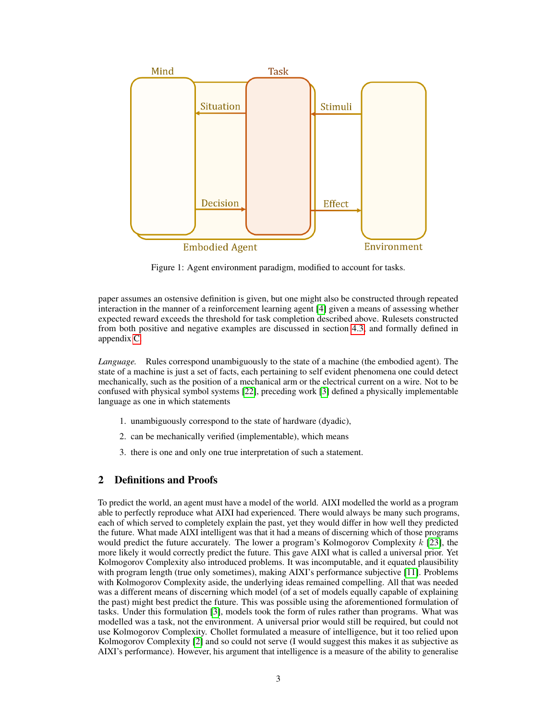

<span id="page-2-0"></span>Figure 1: Agent environment paradigm, modified to account for tasks.

paper assumes an ostensive definition is given, but one might also be constructed through repeated interaction in the manner of a reinforcement learning agent [\[4\]](#page-9-3) given a means of assessing whether expected reward exceeds the threshold for task completion described above. Rulesets constructed from both positive and negative examples are discussed in section [4.3,](#page-8-0) and formally defined in appendix [C.](#page-12-0)

*Language.* Rules correspond unambiguously to the state of a machine (the embodied agent). The state of a machine is just a set of facts, each pertaining to self evident phenomena one could detect mechanically, such as the position of a mechanical arm or the electrical current on a wire. Not to be confused with physical symbol systems [\[22\]](#page-10-12), preceding work [\[3\]](#page-9-2) defined a physically implementable language as one in which statements

- 1. unambiguously correspond to the state of hardware (dyadic),
- 2. can be mechanically verified (implementable), which means
- 3. there is one and only one true interpretation of such a statement.

# 2 Definitions and Proofs

To predict the world, an agent must have a model of the world. AIXI modelled the world as a program able to perfectly reproduce what AIXI had experienced. There would always be many such programs, each of which served to completely explain the past, yet they would differ in how well they predicted the future. What made AIXI intelligent was that it had a means of discerning which of those programs would predict the future accurately. The lower a program's Kolmogorov Complexity  $k$  [\[23\]](#page-10-13), the more likely it would correctly predict the future. This gave AIXI what is called a universal prior. Yet Kolmogorov Complexity also introduced problems. It was incomputable, and it equated plausibility with program length (true only sometimes), making AIXI's performance subjective [\[11\]](#page-10-1). Problems with Kolmogorov Complexity aside, the underlying ideas remained compelling. All that was needed was a different means of discerning which model (of a set of models equally capable of explaining the past) might best predict the future. This was possible using the aforementioned formulation of tasks. Under this formulation [\[3\]](#page-9-2), models took the form of rules rather than programs. What was modelled was a task, not the environment. A universal prior would still be required, but could not use Kolmogorov Complexity. Chollet formulated a measure of intelligence, but it too relied upon Kolmogorov Complexity [\[2\]](#page-9-1) and so could not serve (I would suggest this makes it as subjective as AIXI's performance). However, his argument that intelligence is a measure of the ability to generalise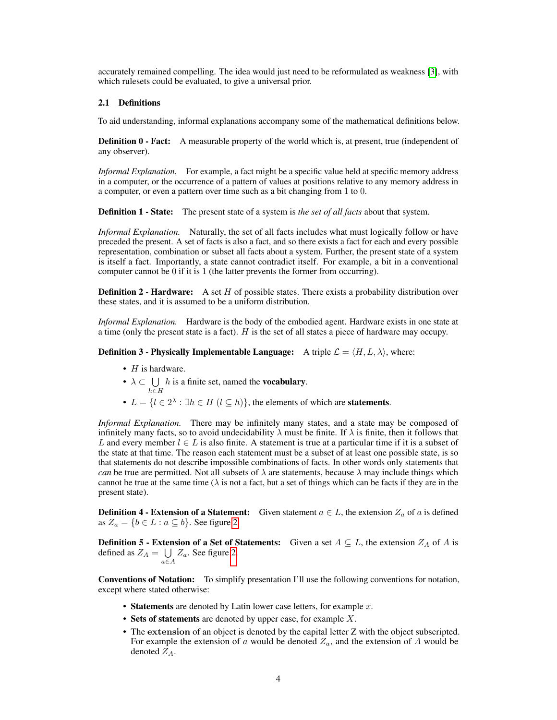accurately remained compelling. The idea would just need to be reformulated as weakness [\[3\]](#page-9-2), with which rulesets could be evaluated, to give a universal prior.

#### 2.1 Definitions

To aid understanding, informal explanations accompany some of the mathematical definitions below.

**Definition 0 - Fact:** A measurable property of the world which is, at present, true (independent of any observer).

*Informal Explanation.* For example, a fact might be a specific value held at specific memory address in a computer, or the occurrence of a pattern of values at positions relative to any memory address in a computer, or even a pattern over time such as a bit changing from 1 to 0.

Definition 1 - State: The present state of a system is *the set of all facts* about that system.

*Informal Explanation.* Naturally, the set of all facts includes what must logically follow or have preceded the present. A set of facts is also a fact, and so there exists a fact for each and every possible representation, combination or subset all facts about a system. Further, the present state of a system is itself a fact. Importantly, a state cannot contradict itself. For example, a bit in a conventional computer cannot be 0 if it is 1 (the latter prevents the former from occurring).

**Definition 2 - Hardware:** A set  $H$  of possible states. There exists a probability distribution over these states, and it is assumed to be a uniform distribution.

*Informal Explanation.* Hardware is the body of the embodied agent. Hardware exists in one state at a time (only the present state is a fact). H is the set of all states a piece of hardware may occupy.

**Definition 3 - Physically Implementable Language:** A triple  $\mathcal{L} = \langle H, L, \lambda \rangle$ , where:

- $H$  is hardware.
- $\bullet$   $\lambda \subset \bigcup$  $h$  is a finite set, named the **vocabulary**.
- h∈H
- $L = \{l \in 2^{\lambda} : \exists h \in H \ (l \subseteq h)\}\$ , the elements of which are **statements**.

*Informal Explanation.* There may be infinitely many states, and a state may be composed of infinitely many facts, so to avoid undecidability  $\lambda$  must be finite. If  $\lambda$  is finite, then it follows that L and every member  $l \in L$  is also finite. A statement is true at a particular time if it is a subset of the state at that time. The reason each statement must be a subset of at least one possible state, is so that statements do not describe impossible combinations of facts. In other words only statements that *can* be true are permitted. Not all subsets of  $\lambda$  are statements, because  $\lambda$  may include things which cannot be true at the same time ( $\lambda$  is not a fact, but a set of things which can be facts if they are in the present state).

**Definition 4 - Extension of a Statement:** Given statement  $a \in L$ , the extension  $Z_a$  of a is defined as  $Z_a = \{b \in L : a \subseteq b\}$ . See figure [2.](#page-4-0)

**Definition 5 - Extension of a Set of Statements:** Given a set  $A \subseteq L$ , the extension  $Z_A$  of A is defined as  $Z_A = \bigcup$  $\bigcup_{a \in A} Z_a$ . See figure [2.](#page-4-0)

Conventions of Notation: To simplify presentation I'll use the following conventions for notation, except where stated otherwise:

- Statements are denoted by Latin lower case letters, for example  $x$ .
- Sets of statements are denoted by upper case, for example  $X$ .
- The extension of an object is denoted by the capital letter Z with the object subscripted. For example the extension of a would be denoted  $Z_a$ , and the extension of A would be denoted  $Z_A$ .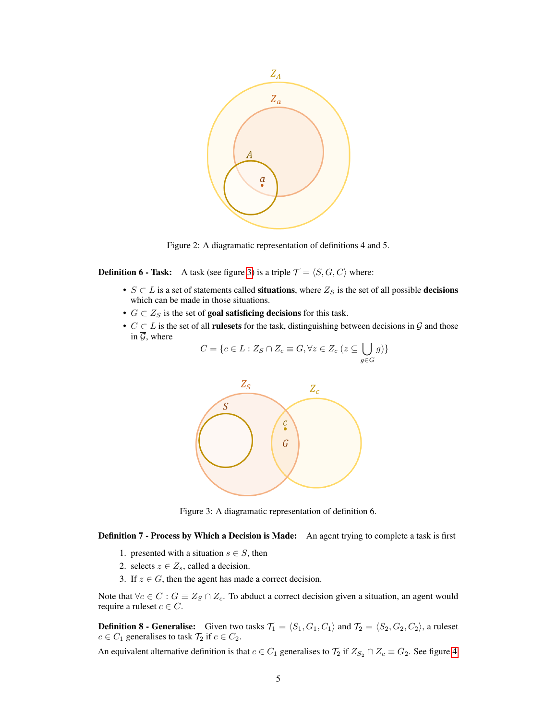

<span id="page-4-0"></span>Figure 2: A diagramatic representation of definitions 4 and 5.

**Definition 6 - Task:** A task (see figure [3\)](#page-4-1) is a triple  $\mathcal{T} = \langle S, G, C \rangle$  where:

- $S \subset L$  is a set of statements called situations, where  $Z_S$  is the set of all possible decisions which can be made in those situations.
- $G \subset Z_S$  is the set of **goal satisficing decisions** for this task.
- $C \subset L$  is the set of all **rulesets** for the task, distinguishing between decisions in  $\mathcal{G}$  and those in  $\overline{G}$ , where

$$
C = \{c \in L : Z_S \cap Z_c \equiv G, \forall z \in Z_c \ (z \subseteq \bigcup_{g \in G} g)\}
$$



<span id="page-4-1"></span>Figure 3: A diagramatic representation of definition 6.

Definition 7 - Process by Which a Decision is Made: An agent trying to complete a task is first

- 1. presented with a situation  $s \in S$ , then
- 2. selects  $z \in Z_s$ , called a decision.
- 3. If  $z \in G$ , then the agent has made a correct decision.

Note that  $\forall c \in C : G \equiv Z_S \cap Z_c$ . To abduct a correct decision given a situation, an agent would require a ruleset  $c \in C$ .

**Definition 8 - Generalise:** Given two tasks  $\mathcal{T}_1 = \langle S_1, G_1, C_1 \rangle$  and  $\mathcal{T}_2 = \langle S_2, G_2, C_2 \rangle$ , a ruleset  $c \in C_1$  generalises to task  $\mathcal{T}_2$  if  $c \in C_2$ .

An equivalent alternative definition is that  $c \in C_1$  generalises to  $\mathcal{T}_2$  if  $Z_{S_2} \cap Z_c \equiv G_2$ . See figure [4.](#page-5-0)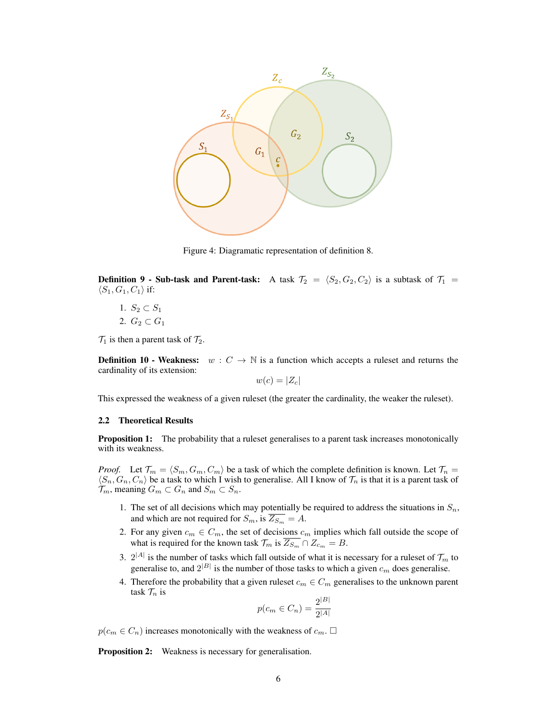

<span id="page-5-0"></span>Figure 4: Diagramatic representation of definition 8.

**Definition 9 - Sub-task and Parent-task:** A task  $\mathcal{T}_2 = \langle S_2, G_2, C_2 \rangle$  is a subtask of  $\mathcal{T}_1$  =  $\langle S_1, G_1, C_1 \rangle$  if:

1.  $S_2 \subset S_1$ 2.  $G_2 \subset G_1$ 

 $\mathcal{T}_1$  is then a parent task of  $\mathcal{T}_2$ .

**Definition 10 - Weakness:**  $w: C \to \mathbb{N}$  is a function which accepts a ruleset and returns the cardinality of its extension:

$$
w(c) = |Z_c|
$$

This expressed the weakness of a given ruleset (the greater the cardinality, the weaker the ruleset).

#### <span id="page-5-1"></span>2.2 Theoretical Results

**Proposition 1:** The probability that a ruleset generalises to a parent task increases monotonically with its weakness.

*Proof.* Let  $\mathcal{T}_m = \langle S_m, G_m, C_m \rangle$  be a task of which the complete definition is known. Let  $\mathcal{T}_n =$  $\langle S_n, G_n, C_n \rangle$  be a task to which I wish to generalise. All I know of  $\mathcal{T}_n$  is that it is a parent task of  $\mathcal{T}_m$ , meaning  $G_m \subset G_n$  and  $S_m \subset S_n$ .

- 1. The set of all decisions which may potentially be required to address the situations in  $S_n$ , and which are not required for  $S_m$ , is  $\overline{Z_{S_m}} = A$ .
- 2. For any given  $c_m \in C_m$ , the set of decisions  $c_m$  implies which fall outside the scope of what is required for the known task  $\mathcal{T}_m$  is  $\overline{Z_{S_m}} \cap Z_{c_m} = B$ .
- 3.  $2^{|A|}$  is the number of tasks which fall outside of what it is necessary for a ruleset of  $\mathcal{T}_m$  to generalise to, and  $2^{|B|}$  is the number of those tasks to which a given  $c_m$  does generalise.
- 4. Therefore the probability that a given ruleset  $c_m \in C_m$  generalises to the unknown parent task  $\mathcal{T}_n$  is

$$
p(c_m \in C_n) = \frac{2^{|B|}}{2^{|A|}}
$$

 $p(c_m \in C_n)$  increases monotonically with the weakness of  $c_m$ .  $\Box$ 

Proposition 2: Weakness is necessary for generalisation.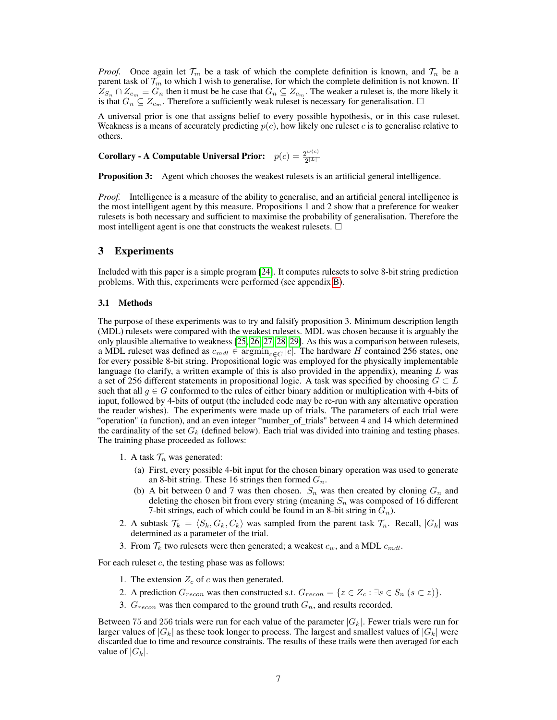*Proof.* Once again let  $\mathcal{T}_m$  be a task of which the complete definition is known, and  $\mathcal{T}_n$  be a parent task of  $\mathcal{T}_m$  to which I wish to generalise, for which the complete definition is not known. If  $Z_{S_n} \cap Z_{c_m} \equiv G_n$  then it must be he case that  $G_n \subseteq Z_{c_m}$ . The weaker a ruleset is, the more likely it is that  $G_n \subseteq Z_{c_m}$ . Therefore a sufficiently weak ruleset is necessary for generalisation.  $\Box$ 

A universal prior is one that assigns belief to every possible hypothesis, or in this case ruleset. Weakness is a means of accurately predicting  $p(c)$ , how likely one ruleset c is to generalise relative to others.

Corollary - A Computable Universal Prior:  $p(c) = \frac{2^{w(c)}}{2^{|L|}}$  $2^{|L|}$ 

**Proposition 3:** Agent which chooses the weakest rulesets is an artificial general intelligence.

*Proof.* Intelligence is a measure of the ability to generalise, and an artificial general intelligence is the most intelligent agent by this measure. Propositions 1 and 2 show that a preference for weaker rulesets is both necessary and sufficient to maximise the probability of generalisation. Therefore the most intelligent agent is one that constructs the weakest rulesets.  $\Box$ 

## 3 Experiments

Included with this paper is a simple program [\[24\]](#page-10-14). It computes rulesets to solve 8-bit string prediction problems. With this, experiments were performed (see appendix [B\)](#page-11-0).

#### 3.1 Methods

The purpose of these experiments was to try and falsify proposition 3. Minimum description length (MDL) rulesets were compared with the weakest rulesets. MDL was chosen because it is arguably the only plausible alternative to weakness [\[25,](#page-10-15) [26,](#page-10-16) [27,](#page-10-17) [28,](#page-10-18) [29\]](#page-10-19). As this was a comparison between rulesets, a MDL ruleset was defined as  $c_{mdl} \in \text{argmin}_{c \in C} |c|$ . The hardware H contained 256 states, one for every possible 8-bit string. Propositional logic was employed for the physically implementable language (to clarify, a written example of this is also provided in the appendix), meaning  $L$  was a set of 256 different statements in propositional logic. A task was specified by choosing  $G \subset L$ such that all  $g \in G$  conformed to the rules of either binary addition or multiplication with 4-bits of input, followed by 4-bits of output (the included code may be re-run with any alternative operation the reader wishes). The experiments were made up of trials. The parameters of each trial were "operation" (a function), and an even integer "number\_of\_trials" between 4 and 14 which determined the cardinality of the set  $G_k$  (defined below). Each trial was divided into training and testing phases. The training phase proceeded as follows:

- 1. A task  $\mathcal{T}_n$  was generated:
	- (a) First, every possible 4-bit input for the chosen binary operation was used to generate an 8-bit string. These 16 strings then formed  $G_n$ .
	- (b) A bit between 0 and 7 was then chosen.  $S_n$  was then created by cloning  $G_n$  and deleting the chosen bit from every string (meaning  $S_n$  was composed of 16 different 7-bit strings, each of which could be found in an 8-bit string in  $G_n$ ).
- 2. A subtask  $\mathcal{T}_k = \langle S_k, G_k, C_k \rangle$  was sampled from the parent task  $\mathcal{T}_n$ . Recall,  $|G_k|$  was determined as a parameter of the trial.
- 3. From  $\mathcal{T}_k$  two rulesets were then generated; a weakest  $c_w$ , and a MDL  $c_{mdl}$ .

For each rules  $c$ , the testing phase was as follows:

- 1. The extension  $Z_c$  of c was then generated.
- 2. A prediction  $G_{recon}$  was then constructed s.t.  $G_{recon} = \{z \in Z_c : \exists s \in S_n \ (s \subset z)\}.$
- 3.  $G_{recon}$  was then compared to the ground truth  $G_n$ , and results recorded.

Between 75 and 256 trials were run for each value of the parameter  $|G_k|$ . Fewer trials were run for larger values of  $|G_k|$  as these took longer to process. The largest and smallest values of  $|G_k|$  were discarded due to time and resource constraints. The results of these trails were then averaged for each value of  $|G_k|$ .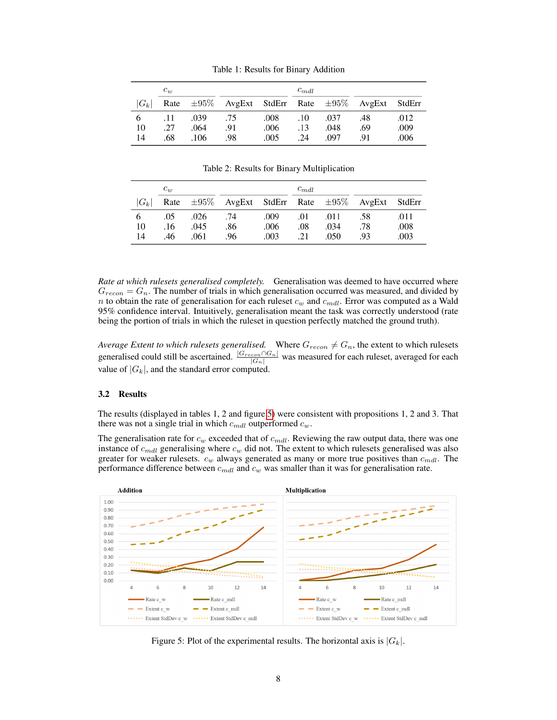|         | $c_w$ |      | $c_{mdl}$ |      |     |      |                                                             |      |
|---------|-------|------|-----------|------|-----|------|-------------------------------------------------------------|------|
| $ G_k $ |       |      |           |      |     |      | Rate $\pm 95\%$ AvgExt StdErr Rate $\pm 95\%$ AvgExt StdErr |      |
|         | .11   | .039 | .75       | .008 | .10 | .037 | .48                                                         | .012 |
| 10      | .27   | .064 | .91       | .006 | .13 | .048 | .69                                                         | .009 |
| 14      | .68   | .106 | .98       | .005 | .24 | .097 | -91                                                         | .006 |

Table 1: Results for Binary Addition

Table 2: Results for Binary Multiplication

|         | $c_w$ |      |                                                             |      | $c_{mdl}$ |      |     |      |
|---------|-------|------|-------------------------------------------------------------|------|-----------|------|-----|------|
| $ G_k $ |       |      | Rate $\pm 95\%$ AvgExt StdErr Rate $\pm 95\%$ AvgExt StdErr |      |           |      |     |      |
|         | .05   | .026 | .74                                                         | .009 | .01       | .011 | .58 | .011 |
| 10      | .16   | .045 | .86                                                         | .006 | .08       | .034 | .78 | .008 |
| 14      | .46   | .061 | .96                                                         | .003 | .21       | .050 | -93 | .003 |

*Rate at which rulesets generalised completely.* Generalisation was deemed to have occurred where  $G_{recon} = G_n$ . The number of trials in which generalisation occurred was measured, and divided by n to obtain the rate of generalisation for each ruleset  $c_w$  and  $c_{mdl}$ . Error was computed as a Wald 95% confidence interval. Intuitively, generalisation meant the task was correctly understood (rate being the portion of trials in which the ruleset in question perfectly matched the ground truth).

*Average Extent to which rulesets generalised.* Where  $G_{recon} \neq G_n$ , the extent to which rulesets generalised could still be ascertained.  $\frac{|G_{recon} \cap G_n|}{|G_n|}$  was measured for each ruleset, averaged for each value of  $|G_k|$ , and the standard error computed.

## <span id="page-7-1"></span>3.2 Results

The results (displayed in tables 1, 2 and figure [5\)](#page-7-0) were consistent with propositions 1, 2 and 3. That there was not a single trial in which  $c_{mdl}$  outperformed  $c_w$ .

The generalisation rate for  $c_w$  exceeded that of  $c_{mdl}$ . Reviewing the raw output data, there was one instance of  $c_{mdl}$  generalising where  $c_w$  did not. The extent to which rulesets generalised was also greater for weaker rulesets.  $c_w$  always generated as many or more true positives than  $c_{mdl}$ . The performance difference between  $c_{mdl}$  and  $c_w$  was smaller than it was for generalisation rate.



<span id="page-7-0"></span>Figure 5: Plot of the experimental results. The horizontal axis is  $|G_k|$ .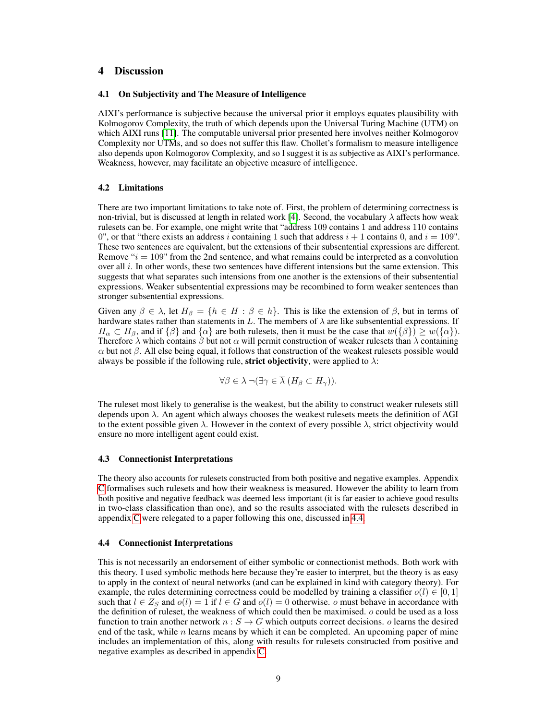# 4 Discussion

#### 4.1 On Subjectivity and The Measure of Intelligence

AIXI's performance is subjective because the universal prior it employs equates plausibility with Kolmogorov Complexity, the truth of which depends upon the Universal Turing Machine (UTM) on which AIXI runs [\[11\]](#page-10-1). The computable universal prior presented here involves neither Kolmogorov Complexity nor UTMs, and so does not suffer this flaw. Chollet's formalism to measure intelligence also depends upon Kolmogorov Complexity, and so I suggest it is as subjective as AIXI's performance. Weakness, however, may facilitate an objective measure of intelligence.

#### 4.2 Limitations

There are two important limitations to take note of. First, the problem of determining correctness is non-trivial, but is discussed at length in related work [\[4\]](#page-9-3). Second, the vocabulary  $\lambda$  affects how weak rulesets can be. For example, one might write that "address 109 contains 1 and address 110 contains 0", or that "there exists an address i containing 1 such that address  $i + 1$  contains 0, and  $i = 109$ ". These two sentences are equivalent, but the extensions of their subsentential expressions are different. Remove  $i = 109$ " from the 2nd sentence, and what remains could be interpreted as a convolution over all i. In other words, these two sentences have different intensions but the same extension. This suggests that what separates such intensions from one another is the extensions of their subsentential expressions. Weaker subsentential expressions may be recombined to form weaker sentences than stronger subsentential expressions.

Given any  $\beta \in \lambda$ , let  $H_{\beta} = \{h \in H : \beta \in h\}$ . This is like the extension of  $\beta$ , but in terms of hardware states rather than statements in L. The members of  $\lambda$  are like subsentential expressions. If  $H_{\alpha} \subset H_{\beta}$ , and if  $\{\beta\}$  and  $\{\alpha\}$  are both rulesets, then it must be the case that  $w(\{\beta\}) \geq w(\{\alpha\})$ . Therefore  $\lambda$  which contains  $\beta$  but not  $\alpha$  will permit construction of weaker rulesets than  $\lambda$  containing  $\alpha$  but not  $\beta$ . All else being equal, it follows that construction of the weakest rulesets possible would always be possible if the following rule, **strict objectivity**, were applied to  $\lambda$ :

$$
\forall \beta \in \lambda \ \neg (\exists \gamma \in \overline{\lambda} \ (H_{\beta} \subset H_{\gamma})).
$$

The ruleset most likely to generalise is the weakest, but the ability to construct weaker rulesets still depends upon  $\lambda$ . An agent which always chooses the weakest rulesets meets the definition of AGI to the extent possible given  $\lambda$ . However in the context of every possible  $\lambda$ , strict objectivity would ensure no more intelligent agent could exist.

#### <span id="page-8-0"></span>4.3 Connectionist Interpretations

The theory also accounts for rulesets constructed from both positive and negative examples. Appendix [C](#page-12-0) formalises such rulesets and how their weakness is measured. However the ability to learn from both positive and negative feedback was deemed less important (it is far easier to achieve good results in two-class classification than one), and so the results associated with the rulesets described in appendix [C](#page-12-0) were relegated to a paper following this one, discussed in [4.4.](#page-8-1)

## <span id="page-8-1"></span>4.4 Connectionist Interpretations

This is not necessarily an endorsement of either symbolic or connectionist methods. Both work with this theory. I used symbolic methods here because they're easier to interpret, but the theory is as easy to apply in the context of neural networks (and can be explained in kind with category theory). For example, the rules determining correctness could be modelled by training a classifier  $o(l) \in [0, 1]$ such that  $l \in Z_S$  and  $o(l) = 1$  if  $l \in G$  and  $o(l) = 0$  otherwise. o must behave in accordance with the definition of ruleset, the weakness of which could then be maximised.  $\sigma$  could be used as a loss function to train another network  $n : S \to G$  which outputs correct decisions. o learns the desired end of the task, while  $n$  learns means by which it can be completed. An upcoming paper of mine includes an implementation of this, along with results for rulesets constructed from positive and negative examples as described in appendix [C.](#page-12-0)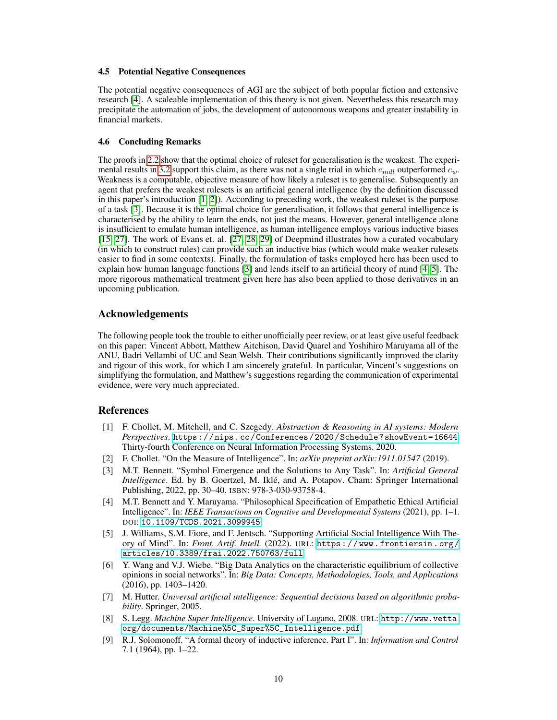#### 4.5 Potential Negative Consequences

The potential negative consequences of AGI are the subject of both popular fiction and extensive research [\[4\]](#page-9-3). A scaleable implementation of this theory is not given. Nevertheless this research may precipitate the automation of jobs, the development of autonomous weapons and greater instability in financial markets.

#### 4.6 Concluding Remarks

The proofs in [2.2](#page-5-1) show that the optimal choice of ruleset for generalisation is the weakest. The experi-mental results in [3.2](#page-7-1) support this claim, as there was not a single trial in which  $c_{mdl}$  outperformed  $c_w$ . Weakness is a computable, objective measure of how likely a ruleset is to generalise. Subsequently an agent that prefers the weakest rulesets is an artificial general intelligence (by the definition discussed in this paper's introduction [\[1,](#page-9-0) [2\]](#page-9-1)). According to preceding work, the weakest ruleset is the purpose of a task [\[3\]](#page-9-2). Because it is the optimal choice for generalisation, it follows that general intelligence is characterised by the ability to learn the ends, not just the means. However, general intelligence alone is insufficient to emulate human intelligence, as human intelligence employs various inductive biases [\[15,](#page-10-5) [27\]](#page-10-17). The work of Evans et. al. [\[27,](#page-10-17) [28,](#page-10-18) [29\]](#page-10-19) of Deepmind illustrates how a curated vocabulary (in which to construct rules) can provide such an inductive bias (which would make weaker rulesets easier to find in some contexts). Finally, the formulation of tasks employed here has been used to explain how human language functions [\[3\]](#page-9-2) and lends itself to an artificial theory of mind [\[4,](#page-9-3) [5\]](#page-9-4). The more rigorous mathematical treatment given here has also been applied to those derivatives in an upcoming publication.

## <span id="page-9-9"></span>Acknowledgements

The following people took the trouble to either unofficially peer review, or at least give useful feedback on this paper: Vincent Abbott, Matthew Aitchison, David Quarel and Yoshihiro Maruyama all of the ANU, Badri Vellambi of UC and Sean Welsh. Their contributions significantly improved the clarity and rigour of this work, for which I am sincerely grateful. In particular, Vincent's suggestions on simplifying the formulation, and Matthew's suggestions regarding the communication of experimental evidence, were very much appreciated.

## References

- <span id="page-9-0"></span>[1] F. Chollet, M. Mitchell, and C. Szegedy. *Abstraction & Reasoning in AI systems: Modern Perspectives*. <https://nips.cc/Conferences/2020/Schedule?showEvent=16644>. Thirty-fourth Conference on Neural Information Processing Systems. 2020.
- <span id="page-9-1"></span>[2] F. Chollet. "On the Measure of Intelligence". In: *arXiv preprint arXiv:1911.01547* (2019).
- <span id="page-9-2"></span>[3] M.T. Bennett. "Symbol Emergence and the Solutions to Any Task". In: *Artificial General Intelligence*. Ed. by B. Goertzel, M. Iklé, and A. Potapov. Cham: Springer International Publishing, 2022, pp. 30–40. ISBN: 978-3-030-93758-4.
- <span id="page-9-3"></span>[4] M.T. Bennett and Y. Maruyama. "Philosophical Specification of Empathetic Ethical Artificial Intelligence". In: *IEEE Transactions on Cognitive and Developmental Systems* (2021), pp. 1–1. DOI: [10.1109/TCDS.2021.3099945](https://doi.org/10.1109/TCDS.2021.3099945).
- <span id="page-9-4"></span>[5] J. Williams, S.M. Fiore, and F. Jentsch. "Supporting Artificial Social Intelligence With Theory of Mind". In: *Front. Artif. Intell.* (2022). URL: [https : / / www . frontiersin . org /](https://www.frontiersin.org/articles/10.3389/frai.2022.750763/full) [articles/10.3389/frai.2022.750763/full](https://www.frontiersin.org/articles/10.3389/frai.2022.750763/full).
- <span id="page-9-5"></span>[6] Y. Wang and V.J. Wiebe. "Big Data Analytics on the characteristic equilibrium of collective opinions in social networks". In: *Big Data: Concepts, Methodologies, Tools, and Applications* (2016), pp. 1403–1420.
- <span id="page-9-6"></span>[7] M. Hutter. *Universal artificial intelligence: Sequential decisions based on algorithmic probability*. Springer, 2005.
- <span id="page-9-7"></span>[8] S. Legg. *Machine Super Intelligence*. University of Lugano, 2008. URL: [http://www.vetta.](http://www.vetta.org/documents/Machine%5C_Super%5C_Intelligence.pdf) [org/documents/Machine%5C\\_Super%5C\\_Intelligence.pdf](http://www.vetta.org/documents/Machine%5C_Super%5C_Intelligence.pdf).
- <span id="page-9-8"></span>[9] R.J. Solomonoff. "A formal theory of inductive inference. Part I". In: *Information and Control* 7.1 (1964), pp. 1–22.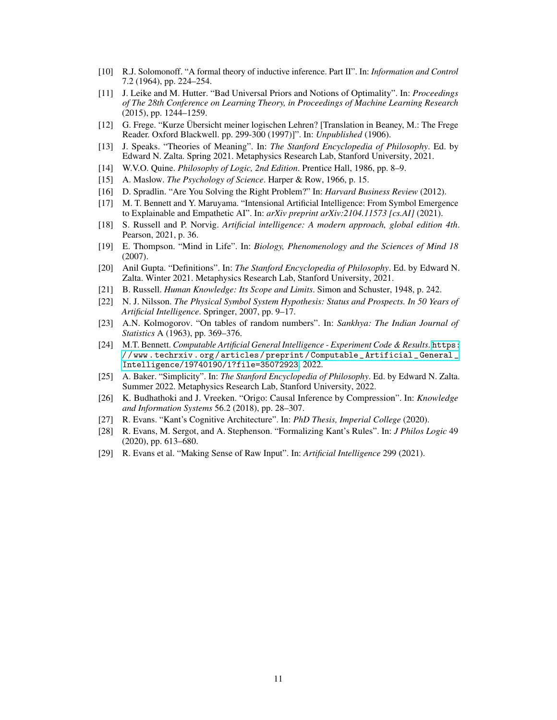- <span id="page-10-0"></span>[10] R.J. Solomonoff. "A formal theory of inductive inference. Part II". In: *Information and Control* 7.2 (1964), pp. 224–254.
- <span id="page-10-1"></span>[11] J. Leike and M. Hutter. "Bad Universal Priors and Notions of Optimality". In: *Proceedings of The 28th Conference on Learning Theory, in Proceedings of Machine Learning Research* (2015), pp. 1244–1259.
- <span id="page-10-2"></span>[12] G. Frege. "Kurze Übersicht meiner logischen Lehren? [Translation in Beaney, M.: The Frege Reader. Oxford Blackwell. pp. 299-300 (1997)]". In: *Unpublished* (1906).
- <span id="page-10-3"></span>[13] J. Speaks. "Theories of Meaning". In: *The Stanford Encyclopedia of Philosophy*. Ed. by Edward N. Zalta. Spring 2021. Metaphysics Research Lab, Stanford University, 2021.
- <span id="page-10-4"></span>[14] W.V.O. Quine. *Philosophy of Logic, 2nd Edition*. Prentice Hall, 1986, pp. 8–9.
- <span id="page-10-5"></span>[15] A. Maslow. *The Psychology of Science*. Harper & Row, 1966, p. 15.
- <span id="page-10-6"></span>[16] D. Spradlin. "Are You Solving the Right Problem?" In: *Harvard Business Review* (2012).
- <span id="page-10-7"></span>[17] M. T. Bennett and Y. Maruyama. "Intensional Artificial Intelligence: From Symbol Emergence to Explainable and Empathetic AI". In: *arXiv preprint arXiv:2104.11573 [cs.AI]* (2021).
- <span id="page-10-8"></span>[18] S. Russell and P. Norvig. *Artificial intelligence: A modern approach, global edition 4th*. Pearson, 2021, p. 36.
- <span id="page-10-9"></span>[19] E. Thompson. "Mind in Life". In: *Biology, Phenomenology and the Sciences of Mind 18* (2007).
- <span id="page-10-10"></span>[20] Anil Gupta. "Definitions". In: *The Stanford Encyclopedia of Philosophy*. Ed. by Edward N. Zalta. Winter 2021. Metaphysics Research Lab, Stanford University, 2021.
- <span id="page-10-11"></span>[21] B. Russell. *Human Knowledge: Its Scope and Limits*. Simon and Schuster, 1948, p. 242.
- <span id="page-10-12"></span>[22] N. J. Nilsson. *The Physical Symbol System Hypothesis: Status and Prospects. In 50 Years of Artificial Intelligence*. Springer, 2007, pp. 9–17.
- <span id="page-10-13"></span>[23] A.N. Kolmogorov. "On tables of random numbers". In: *Sankhya: The Indian Journal of Statistics* A (1963), pp. 369–376.
- <span id="page-10-14"></span>[24] M.T. Bennett. *Computable Artificial General Intelligence - Experiment Code & Results*. [https:](https://www.techrxiv.org/articles/preprint/Computable_Artificial_General_Intelligence/19740190/1?file=35072923) [/ / www . techrxiv . org / articles / preprint / Computable \\_ Artificial \\_ General \\_](https://www.techrxiv.org/articles/preprint/Computable_Artificial_General_Intelligence/19740190/1?file=35072923) [Intelligence/19740190/1?file=35072923](https://www.techrxiv.org/articles/preprint/Computable_Artificial_General_Intelligence/19740190/1?file=35072923). 2022.
- <span id="page-10-15"></span>[25] A. Baker. "Simplicity". In: *The Stanford Encyclopedia of Philosophy*. Ed. by Edward N. Zalta. Summer 2022. Metaphysics Research Lab, Stanford University, 2022.
- <span id="page-10-16"></span>[26] K. Budhathoki and J. Vreeken. "Origo: Causal Inference by Compression". In: *Knowledge and Information Systems* 56.2 (2018), pp. 28–307.
- <span id="page-10-17"></span>[27] R. Evans. "Kant's Cognitive Architecture". In: *PhD Thesis, Imperial College* (2020).
- <span id="page-10-18"></span>[28] R. Evans, M. Sergot, and A. Stephenson. "Formalizing Kant's Rules". In: *J Philos Logic* 49 (2020), pp. 613–680.
- <span id="page-10-19"></span>[29] R. Evans et al. "Making Sense of Raw Input". In: *Artificial Intelligence* 299 (2021).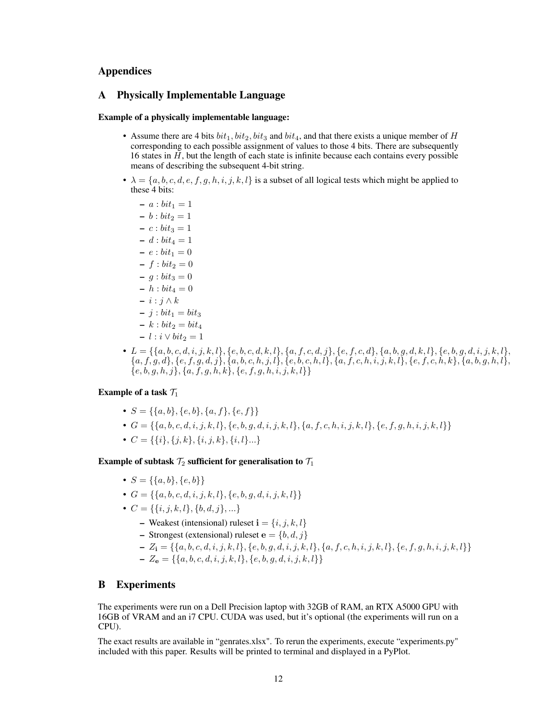# Appendices

## A Physically Implementable Language

## Example of a physically implementable language:

- Assume there are 4 bits  $bit_1, bit_2, bit_3$  and  $bit_4$ , and that there exists a unique member of H corresponding to each possible assignment of values to those 4 bits. There are subsequently 16 states in  $H$ , but the length of each state is infinite because each contains every possible means of describing the subsequent 4-bit string.
- $\lambda = \{a, b, c, d, e, f, g, h, i, j, k, l\}$  is a subset of all logical tests which might be applied to these 4 bits:
	- $a : bit_1 = 1$  $- b : bit_2 = 1$  $- c : bit_3 = 1$  $- d : bit_4 = 1$  $-e : bit_1 = 0$  $- f : bit_2 = 0$  $- g : bit_3 = 0$  $- h : bit_4 = 0$  $- i : j \wedge k$  $- j : bit_1 = bit_3$  $- k : bit_2 = bit_4$  $- l : i \vee bit_2 = 1$
- $\bullet \ L = \{\{a,b,c,d,i,j,k,l\}, \{e,b,c,d,k,l\}, \{a,f,c,d,j\}, \{e,f,c,d\}, \{a,b,g,d,k,l\}, \{e,b,g,d,i,j,k,l\}, \{b,b,d,d,k,l\}, \{b,d,d,d,k,l\}, \{b,d,d,k,l\}$  ${a, f, g, d}, {e, f, g, d, j}, {a, b, c, h, j, l}, {e, b, c, h, l}, {a, f, c, h, i, j, k, l}, {e, f, c, h, k}, {a, b, g, h, l},$  $\{e, b, g, h, j\}, \{a, f, g, h, k\}, \{e, f, g, h, i, j, k, l\}\}\$

# Example of a task  $\mathcal{T}_1$

- $S = \{\{a, b\}, \{e, b\}, \{a, f\}, \{e, f\}\}\$
- $G = \{\{a, b, c, d, i, j, k, l\}, \{e, b, g, d, i, j, k, l\}, \{a, f, c, h, i, j, k, l\}, \{e, f, g, h, i, j, k, l\}\}\$
- $C = \{\{i\}, \{j, k\}, \{i, j, k\}, \{i, l\} \dots\}$

## Example of subtask  $\mathcal{T}_2$  sufficient for generalisation to  $\mathcal{T}_1$

- $S = \{\{a, b\}, \{e, b\}\}\$
- $G = \{\{a, b, c, d, i, j, k, l\}, \{e, b, q, d, i, j, k, l\}\}\$
- $C = \{\{i, j, k, l\}, \{b, d, j\}, \ldots\}$ 
	- Weakest (intensional) ruleset  $\mathbf{i} = \{i, j, k, l\}$
	- Strongest (extensional) ruleset  $e = \{b, d, j\}$
	- $-Z_i = \{\{a, b, c, d, i, j, k, l\}, \{e, b, q, d, i, j, k, l\}, \{a, f, c, h, i, j, k, l\}, \{e, f, g, h, i, j, k, l\}\}\$
	- $Z_{\mathbf{e}} = \{\{a, b, c, d, i, j, k, l\}, \{e, b, q, d, i, j, k, l\}\}\$

# <span id="page-11-0"></span>B Experiments

The experiments were run on a Dell Precision laptop with 32GB of RAM, an RTX A5000 GPU with 16GB of VRAM and an i7 CPU. CUDA was used, but it's optional (the experiments will run on a CPU).

The exact results are available in "genrates.xlsx". To rerun the experiments, execute "experiments.py" included with this paper. Results will be printed to terminal and displayed in a PyPlot.